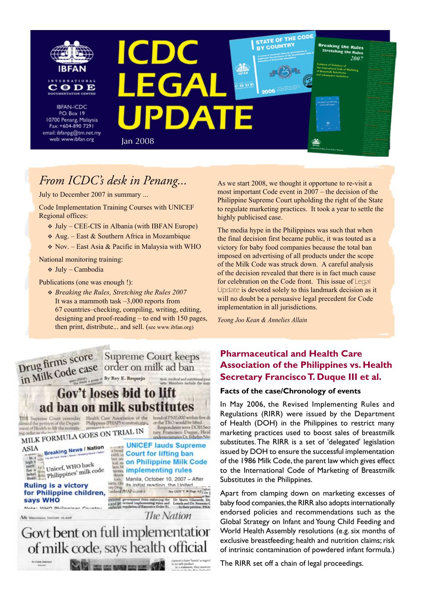

# *From ICDC's desk in Penang...*

July to December 2007 in summary ...

Code Implementation Training Courses with UNICEF Regional offices:

- v July CEE-CIS in Albania (with IBFAN Europe)
- $\triangle$  Aug. East & Southern Africa in Mozambique
- $\div$  Nov. East Asia & Pacific in Malaysia with WHO

National monitoring training:

v July – Cambodia

Publications (one was enough !):

v *Breaking the Rules, Stretching the Rules 2007* It was a mammoth task –3,000 reports from 67 countries–checking, compiling, writing, editing, designing and proof-reading – to end with 150 pages, then print, distribute... and sell. (see www.ibfan.org)



As we start 2008, we thought it opportune to re-visit a most important Code event in 2007 – the decision of the Philippine Supreme Court upholding the right of the State to regulate marketing practices. It took a year to settle the highly publicised case.

The media hype in the Philippines was such that when the final decision first became public, it was touted as a victory for baby food companies because the total ban imposed on advertising of all products under the scope of the Milk Code was struck down. A careful analysis of the decision revealed that there is in fact much cause for celebration on the Code front. This issue of Legal Update is devoted solely to this landmark decision as it will no doubt be a persuasive legal precedent for Code implementation in all jurisdictions.

*Yeong Joo Kean & Annelies Allain*

## **Pharmaceutical and Health Care Association of the Philippines vs. Health Secretary Francisco T. Duque III et al.**

#### **Facts of the case/Chronology of events**

In May 2006, the Revised Implementing Rules and Regulations (RIRR) were issued by the Department of Health (DOH) in the Philippines to restrict many marketing practices used to boost sales of breastmilk substitutes. The RIRR is a set of 'delegated' legislation issued by DOH to ensure the successful implementation of the 1986 Milk Code, the parent law which gives effect to the International Code of Marketing of Breastmilk Substitutes in the Philippines.

Apart from clamping down on marketing excesses of baby food companies, the RIRR also adopts internationally endorsed policies and recommendations such as the Global Strategy on Infant and Young Child Feeding and World Health Assembly resolutions (e.g. six months of exclusive breastfeeding; health and nutrition claims; risk of intrinsic contamination of powdered infant formula.)

The RIRR set off a chain of legal proceedings.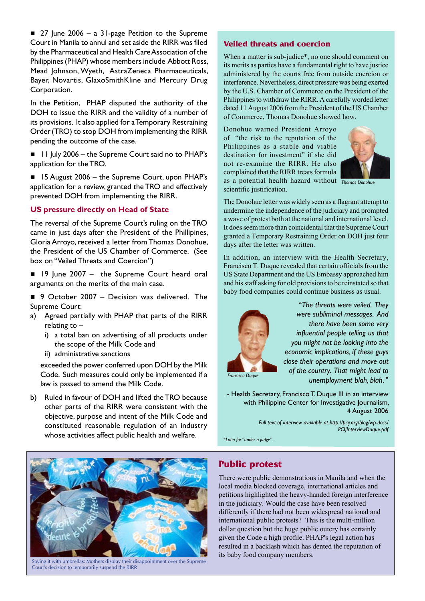$\blacksquare$  27 June 2006 – a 31-page Petition to the Supreme Court in Manila to annul and set aside the RIRR was filed by the Pharmaceutical and Health Care Association of the Philippines (PHAP) whose members include Abbott Ross, Mead Johnson, Wyeth, AstraZeneca Pharmaceuticals, Bayer, Novartis, GlaxoSmithKline and Mercury Drug Corporation.

In the Petition, PHAP disputed the authority of the DOH to issue the RIRR and the validity of a number of its provisions. It also applied for a Temporary Restraining Order(TRO) to stop DOH from implementing the RIRR pending the outcome of the case.

- 11 July 2006 the Supreme Court said no to PHAP's application for the TRO.
- $\blacksquare$  15 August 2006 the Supreme Court, upon PHAP's application for a review, granted the TRO and effectively prevented DOH from implementing the RIRR.

#### **US pressure directly on Head of State**

The reversal of the Supreme Court's ruling on the TRO came in just days after the President of the Phillipines, Gloria Arroyo, received a letter from Thomas Donohue, the President of the US Chamber of Commerce. (See box on "Veiled Threats and Coercion")

 $\blacksquare$  19 June 2007 – the Supreme Court heard oral arguments on the merits of the main case.

■ 9 October 2007 - Decision was delivered. The Supreme Court:

- a) Agreed partially with PHAP that parts of the RIRR relating to –
	- i) a total ban on advertising of all products under the scope of the Milk Code and
	- ii) administrative sanctions

exceeded the power conferred upon DOH by the Milk Code. Such measures could only be implemented if a law is passed to amend the Milk Code.

b) Ruled in favour of DOH and lifted the TRO because other parts of the RIRR were consistent with the objective, purpose and intent of the Milk Code and constituted reasonable regulation of an industry whose activities affect public health and welfare.

Saying it with umbrellas: Mothers display their disappointment over the Supreme Court's decision to temporarily suspend the RIRR

#### **Veiled threats and coercion**

When a matter is sub-judice\*, no one should comment on its merits as parties have a fundamental right to have justice administered by the courts free from outside coercion or interference. Nevertheless, direct pressure was being exerted by the U.S. Chamber of Commerce on the President of the Philippines to withdraw the RIRR. A carefully worded letter dated 11 August 2006 from the President of the US Chamber of Commerce, Thomas Donohue showed how.

Donohue warned President Arroyo of "the risk to the reputation of the Philippines as a stable and viable destination for investment" if she did not re-examine the RIRR. He also complained that the RIRR treats formula as a potential health hazard without *Thomas Donohue* scientific justification.



The Donohue letter was widely seen as a flagrant attempt to undermine the independence of the judiciary and prompted a wave of protest both at the national and international level. It does seem more than coincidental that the Supreme Court granted a Temporary Restraining Order on DOH just four days after the letter was written.

In addition, an interview with the Health Secretary, Francisco T. Duque revealed that certain officials from the US State Department and the US Embassy approached him and his staff asking for old provisions to be reinstated so that baby food companies could continue business as usual.



"*The threats were veiled. They were subliminal messages. And there have been some very influential people telling us that you might not be looking into the economic implications, if these guys close their operations and move out of the country. That might lead to unemployment blah, blah*. "

*Francisco Duque*

- Health Secretary, Francisco T. Duque III in an interview with Philippine Center for Investigative Journalism, 4 August 2006

> *Full text of interview available at http://pcij.org/blog/wp-docs/ PCIJInterviewDuque.pdf*

*\*Latin for "under a judge".*

## **Public protest**

There were public demonstrations in Manila and when the local media blocked coverage, international articles and petitions highlighted the heavy-handed foreign interference in the judiciary. Would the case have been resolved differently if there had not been widespread national and international public protests? This is the multi-million dollar question but the huge public outcry has certainly given the Code a high profile. PHAP's legal action has resulted in a backlash which has dented the reputation of its baby food company members.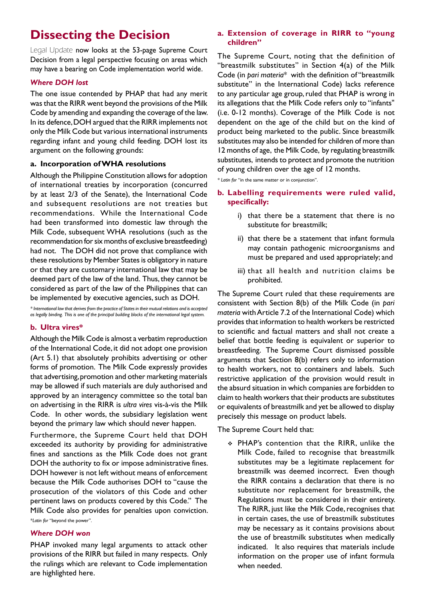# **Dissecting the Decision**

Legal Update now looks at the 53-page Supreme Court Decision from a legal perspective focusing on areas which may have a bearing on Code implementation world wide.

#### *Where DOH lost*

The one issue contended by PHAP that had any merit was that the RIRR went beyond the provisions of the Milk Code by amending and expanding the coverage of the law. In its defence, DOH argued that the RIRR implements not only the Milk Code but various international instruments regarding infant and young child feeding. DOH lost its argument on the following grounds:

#### **a. Incorporation of WHA resolutions**

Although the Philippine Constitution allows for adoption of international treaties by incorporation (concurred by at least 2/3 of the Senate), the International Code and subsequent resolutions are not treaties but recommendations. While the International Code had been transformed into domestic law through the Milk Code, subsequent WHA resolutions (such as the recommendation for six months of exclusive breastfeeding) had not. The DOH did not prove that compliance with these resolutions by Member States is obligatory in nature or that they are customary international law that may be deemed part of the law of the land. Thus, they cannot be considered as part of the law of the Philippines that can be implemented by executive agencies, such as DOH.

*\* International law that derives from the practice of States in their mutual relations and is accepted as legally binding. This is one of the principal building blocks of the international legal system.* 

### **b. Ultra vires\***

Although the Milk Code is almost a verbatim reproduction of the International Code, it did not adopt one provision (Art 5.1) that absolutely prohibits advertising or other forms of promotion. The Milk Code expressly provides that advertising, promotion and other marketing materials may be allowed if such materials are duly authorised and approved by an interagency committee so the total ban on advertising in the RIRR is *ultra vires* vis-à-vis the Milk Code. In other words, the subsidiary legislation went beyond the primary law which should never happen.

Furthermore, the Supreme Court held that DOH exceeded its authority by providing for administrative fines and sanctions as the Milk Code does not grant DOH the authority to fix or impose administrative fines. DOH however is not left without means of enforcement because the Milk Code authorises DOH to "cause the prosecution of the violators of this Code and other pertinent laws on products covered by this Code." The Milk Code also provides for penalties upon conviction. *\*Latin for* "beyond the power".

### *Where DOH won*

PHAP invoked many legal arguments to attack other provisions of the RIRR but failed in many respects. Only the rulings which are relevant to Code implementation are highlighted here.

#### **a. Extension of coverage in RIRR to "young children"**

The Supreme Court, noting that the definition of "breastmilk substitutes" in Section 4(a) of the Milk Code (in *pari materia*\* with the definition of "breastmilk substitute" in the International Code) lacks reference to any particular age group, ruled that PHAP is wrong in its allegations that the Milk Code refers only to "infants" (i.e. 0-12 months). Coverage of the Milk Code is not dependent on the age of the child but on the kind of product being marketed to the public. Since breastmilk substitutes may also be intended for children of more than 12 months of age, the Milk Code, by regulating breastmilk substitutes, intends to protect and promote the nutrition of young children over the age of 12 months.

*\* Latin for* "in the same matter or in conjunction".

#### **b. Labelling requirements were ruled valid, specifically:**

- i) that there be a statement that there is no substitute for breastmilk;
- ii) that there be a statement that infant formula may contain pathogenic microorganisms and must be prepared and used appropriately; and
- iii) that all health and nutrition claims be prohibited.

The Supreme Court ruled that these requirements are consistent with Section 8(b) of the Milk Code (in *pari materia* with Article 7.2 of the International Code) which provides that information to health workers be restricted to scientific and factual matters and shall not create a belief that bottle feeding is equivalent or superior to breastfeeding. The Supreme Court dismissed possible arguments that Section 8(b) refers only to information to health workers, not to containers and labels. Such restrictive application of the provision would result in the absurd situation in which companies are forbidden to claim to health workers that their products are substitutes or equivalents of breastmilk and yet be allowed to display precisely this message on product labels.

The Supreme Court held that:

\* PHAP's contention that the RIRR, unlike the Milk Code, failed to recognise that breastmilk substitutes may be a legitimate replacement for breastmilk was deemed incorrect. Even though the RIRR contains a declaration that there is no substitute nor replacement for breastmilk, the Regulations must be considered in their entirety. The RIRR, just like the Milk Code, recognises that in certain cases, the use of breastmilk substitutes may be necessary as it contains provisions about the use of breastmilk substitutes when medically indicated. It also requires that materials include information on the proper use of infant formula when needed.